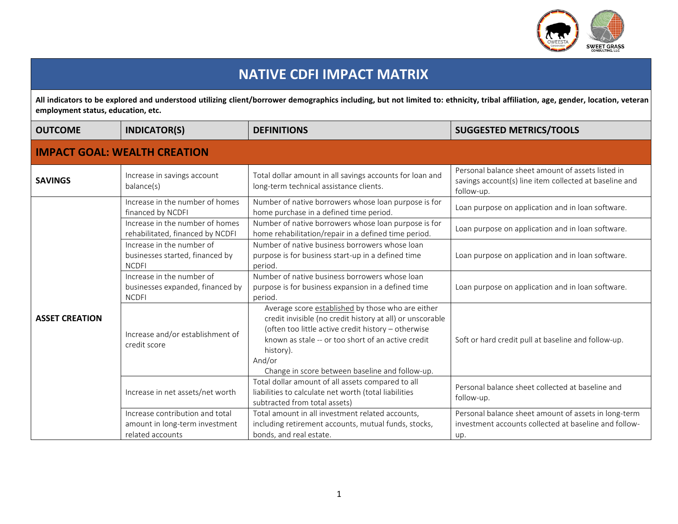

## **NATIVE CDFI IMPACT MATRIX**

All indicators to be explored and understood utilizing client/borrower demographics including, but not limited to: ethnicity, tribal affiliation, age, gender, location, veteran **employment status, education, etc.**

| <b>OUTCOME</b>                      | <b>INDICATOR(S)</b>                                                                   | <b>DEFINITIONS</b>                                                                                                                                                                                                                                                                                    | <b>SUGGESTED METRICS/TOOLS</b>                                                                                            |  |
|-------------------------------------|---------------------------------------------------------------------------------------|-------------------------------------------------------------------------------------------------------------------------------------------------------------------------------------------------------------------------------------------------------------------------------------------------------|---------------------------------------------------------------------------------------------------------------------------|--|
| <b>IMPACT GOAL: WEALTH CREATION</b> |                                                                                       |                                                                                                                                                                                                                                                                                                       |                                                                                                                           |  |
| <b>SAVINGS</b>                      | Increase in savings account<br>balance(s)                                             | Total dollar amount in all savings accounts for loan and<br>long-term technical assistance clients.                                                                                                                                                                                                   | Personal balance sheet amount of assets listed in<br>savings account(s) line item collected at baseline and<br>follow-up. |  |
| <b>ASSET CREATION</b>               | Increase in the number of homes<br>financed by NCDFI                                  | Number of native borrowers whose loan purpose is for<br>home purchase in a defined time period.                                                                                                                                                                                                       | Loan purpose on application and in loan software.                                                                         |  |
|                                     | Increase in the number of homes<br>rehabilitated, financed by NCDFI                   | Number of native borrowers whose loan purpose is for<br>home rehabilitation/repair in a defined time period.                                                                                                                                                                                          | Loan purpose on application and in loan software.                                                                         |  |
|                                     | Increase in the number of<br>businesses started, financed by<br><b>NCDFI</b>          | Number of native business borrowers whose loan<br>purpose is for business start-up in a defined time<br>period.                                                                                                                                                                                       | Loan purpose on application and in loan software.                                                                         |  |
|                                     | Increase in the number of<br>businesses expanded, financed by<br><b>NCDFI</b>         | Number of native business borrowers whose loan<br>purpose is for business expansion in a defined time<br>period.                                                                                                                                                                                      | Loan purpose on application and in loan software.                                                                         |  |
|                                     | Increase and/or establishment of<br>credit score                                      | Average score established by those who are either<br>credit invisible (no credit history at all) or unscorable<br>(often too little active credit history - otherwise<br>known as stale -- or too short of an active credit<br>history).<br>And/or<br>Change in score between baseline and follow-up. | Soft or hard credit pull at baseline and follow-up.                                                                       |  |
|                                     | Increase in net assets/net worth                                                      | Total dollar amount of all assets compared to all<br>liabilities to calculate net worth (total liabilities<br>subtracted from total assets)                                                                                                                                                           | Personal balance sheet collected at baseline and<br>follow-up.                                                            |  |
|                                     | Increase contribution and total<br>amount in long-term investment<br>related accounts | Total amount in all investment related accounts,<br>including retirement accounts, mutual funds, stocks,<br>bonds, and real estate.                                                                                                                                                                   | Personal balance sheet amount of assets in long-term<br>investment accounts collected at baseline and follow-<br>up.      |  |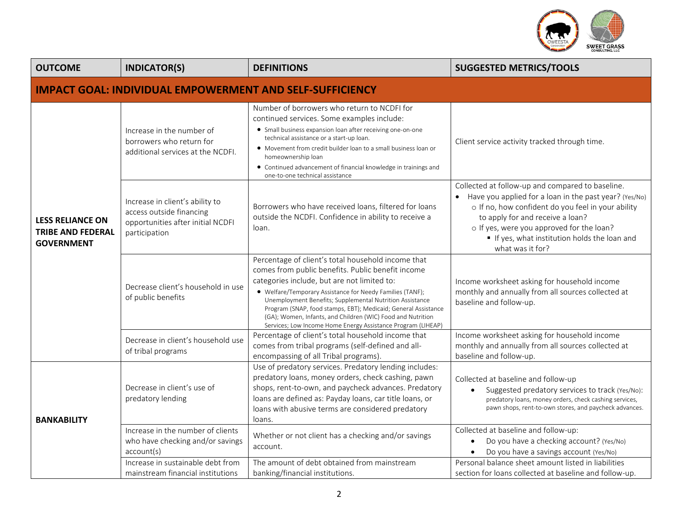

| <b>OUTCOME</b>                                                           | <b>INDICATOR(S)</b>                                                                                               | <b>DEFINITIONS</b>                                                                                                                                                                                                                                                                                                                                                                                                                                                               | <b>SUGGESTED METRICS/TOOLS</b>                                                                                                                                                                                                                                                                                       |  |
|--------------------------------------------------------------------------|-------------------------------------------------------------------------------------------------------------------|----------------------------------------------------------------------------------------------------------------------------------------------------------------------------------------------------------------------------------------------------------------------------------------------------------------------------------------------------------------------------------------------------------------------------------------------------------------------------------|----------------------------------------------------------------------------------------------------------------------------------------------------------------------------------------------------------------------------------------------------------------------------------------------------------------------|--|
| <b>IMPACT GOAL: INDIVIDUAL EMPOWERMENT AND SELF-SUFFICIENCY</b>          |                                                                                                                   |                                                                                                                                                                                                                                                                                                                                                                                                                                                                                  |                                                                                                                                                                                                                                                                                                                      |  |
| <b>LESS RELIANCE ON</b><br><b>TRIBE AND FEDERAL</b><br><b>GOVERNMENT</b> | Increase in the number of<br>borrowers who return for<br>additional services at the NCDFI.                        | Number of borrowers who return to NCDFI for<br>continued services. Some examples include:<br>• Small business expansion loan after receiving one-on-one<br>technical assistance or a start-up loan.<br>• Movement from credit builder loan to a small business loan or<br>homeownership loan<br>• Continued advancement of financial knowledge in trainings and<br>one-to-one technical assistance                                                                               | Client service activity tracked through time.                                                                                                                                                                                                                                                                        |  |
|                                                                          | Increase in client's ability to<br>access outside financing<br>opportunities after initial NCDFI<br>participation | Borrowers who have received loans, filtered for loans<br>outside the NCDFI. Confidence in ability to receive a<br>loan.                                                                                                                                                                                                                                                                                                                                                          | Collected at follow-up and compared to baseline.<br>Have you applied for a loan in the past year? (Yes/No)<br>o If no, how confident do you feel in your ability<br>to apply for and receive a loan?<br>o If yes, were you approved for the loan?<br>If yes, what institution holds the loan and<br>what was it for? |  |
|                                                                          | Decrease client's household in use<br>of public benefits                                                          | Percentage of client's total household income that<br>comes from public benefits. Public benefit income<br>categories include, but are not limited to:<br>• Welfare/Temporary Assistance for Needy Families (TANF);<br>Unemployment Benefits; Supplemental Nutrition Assistance<br>Program (SNAP, food stamps, EBT); Medicaid; General Assistance<br>(GA); Women, Infants, and Children (WIC) Food and Nutrition<br>Services; Low Income Home Energy Assistance Program (LIHEAP) | Income worksheet asking for household income<br>monthly and annually from all sources collected at<br>baseline and follow-up.                                                                                                                                                                                        |  |
|                                                                          | Decrease in client's household use<br>of tribal programs                                                          | Percentage of client's total household income that<br>comes from tribal programs (self-defined and all-<br>encompassing of all Tribal programs).                                                                                                                                                                                                                                                                                                                                 | Income worksheet asking for household income<br>monthly and annually from all sources collected at<br>baseline and follow-up.                                                                                                                                                                                        |  |
| <b>BANKABILITY</b>                                                       | Decrease in client's use of<br>predatory lending                                                                  | Use of predatory services. Predatory lending includes:<br>predatory loans, money orders, check cashing, pawn<br>shops, rent-to-own, and paycheck advances. Predatory<br>loans are defined as: Payday loans, car title loans, or<br>loans with abusive terms are considered predatory<br>loans.                                                                                                                                                                                   | Collected at baseline and follow-up<br>Suggested predatory services to track (Yes/No):<br>predatory loans, money orders, check cashing services,<br>pawn shops, rent-to-own stores, and paycheck advances.                                                                                                           |  |
|                                                                          | Increase in the number of clients<br>who have checking and/or savings<br>account(s)                               | Whether or not client has a checking and/or savings<br>account.                                                                                                                                                                                                                                                                                                                                                                                                                  | Collected at baseline and follow-up:<br>Do you have a checking account? (Yes/No)<br>$\bullet$<br>Do you have a savings account (Yes/No)<br>$\bullet$                                                                                                                                                                 |  |
|                                                                          | Increase in sustainable debt from<br>mainstream financial institutions                                            | The amount of debt obtained from mainstream<br>banking/financial institutions.                                                                                                                                                                                                                                                                                                                                                                                                   | Personal balance sheet amount listed in liabilities<br>section for loans collected at baseline and follow-up.                                                                                                                                                                                                        |  |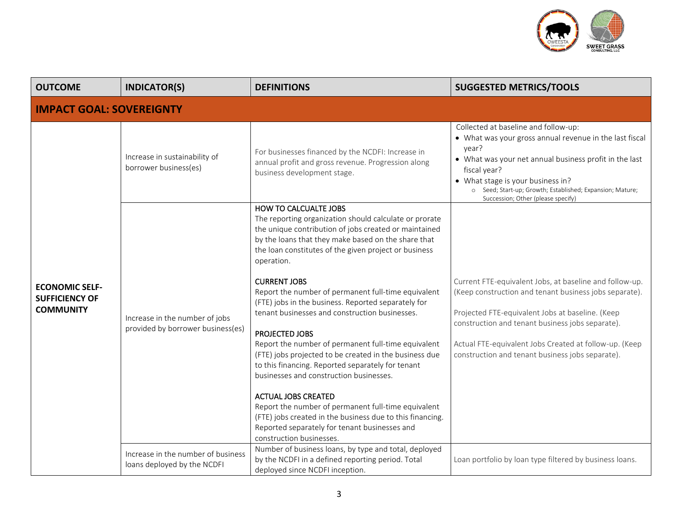

| <b>OUTCOME</b>                                                     | <b>INDICATOR(S)</b>                                                 | <b>DEFINITIONS</b>                                                                                                                                                                                                                                                                                                                                                                                                                                                                                                                                                                                                                                                                                                                                                                                                                                                                                                                     | <b>SUGGESTED METRICS/TOOLS</b>                                                                                                                                                                                                                                                                                                          |  |
|--------------------------------------------------------------------|---------------------------------------------------------------------|----------------------------------------------------------------------------------------------------------------------------------------------------------------------------------------------------------------------------------------------------------------------------------------------------------------------------------------------------------------------------------------------------------------------------------------------------------------------------------------------------------------------------------------------------------------------------------------------------------------------------------------------------------------------------------------------------------------------------------------------------------------------------------------------------------------------------------------------------------------------------------------------------------------------------------------|-----------------------------------------------------------------------------------------------------------------------------------------------------------------------------------------------------------------------------------------------------------------------------------------------------------------------------------------|--|
| <b>IMPACT GOAL: SOVEREIGNTY</b>                                    |                                                                     |                                                                                                                                                                                                                                                                                                                                                                                                                                                                                                                                                                                                                                                                                                                                                                                                                                                                                                                                        |                                                                                                                                                                                                                                                                                                                                         |  |
| <b>ECONOMIC SELF-</b><br><b>SUFFICIENCY OF</b><br><b>COMMUNITY</b> | Increase in sustainability of<br>borrower business(es)              | For businesses financed by the NCDFI: Increase in<br>annual profit and gross revenue. Progression along<br>business development stage.                                                                                                                                                                                                                                                                                                                                                                                                                                                                                                                                                                                                                                                                                                                                                                                                 | Collected at baseline and follow-up:<br>• What was your gross annual revenue in the last fiscal<br>year?<br>• What was your net annual business profit in the last<br>fiscal year?<br>• What stage is your business in?<br>o Seed; Start-up; Growth; Established; Expansion; Mature;<br>Succession; Other (please specify)              |  |
|                                                                    | Increase in the number of jobs<br>provided by borrower business(es) | <b>HOW TO CALCUALTE JOBS</b><br>The reporting organization should calculate or prorate<br>the unique contribution of jobs created or maintained<br>by the loans that they make based on the share that<br>the loan constitutes of the given project or business<br>operation.<br><b>CURRENT JOBS</b><br>Report the number of permanent full-time equivalent<br>(FTE) jobs in the business. Reported separately for<br>tenant businesses and construction businesses.<br>PROJECTED JOBS<br>Report the number of permanent full-time equivalent<br>(FTE) jobs projected to be created in the business due<br>to this financing. Reported separately for tenant<br>businesses and construction businesses.<br><b>ACTUAL JOBS CREATED</b><br>Report the number of permanent full-time equivalent<br>(FTE) jobs created in the business due to this financing.<br>Reported separately for tenant businesses and<br>construction businesses. | Current FTE-equivalent Jobs, at baseline and follow-up.<br>(Keep construction and tenant business jobs separate).<br>Projected FTE-equivalent Jobs at baseline. (Keep<br>construction and tenant business jobs separate).<br>Actual FTE-equivalent Jobs Created at follow-up. (Keep<br>construction and tenant business jobs separate). |  |
|                                                                    | Increase in the number of business<br>loans deployed by the NCDFI   | Number of business loans, by type and total, deployed<br>by the NCDFI in a defined reporting period. Total<br>deployed since NCDFI inception.                                                                                                                                                                                                                                                                                                                                                                                                                                                                                                                                                                                                                                                                                                                                                                                          | Loan portfolio by loan type filtered by business loans.                                                                                                                                                                                                                                                                                 |  |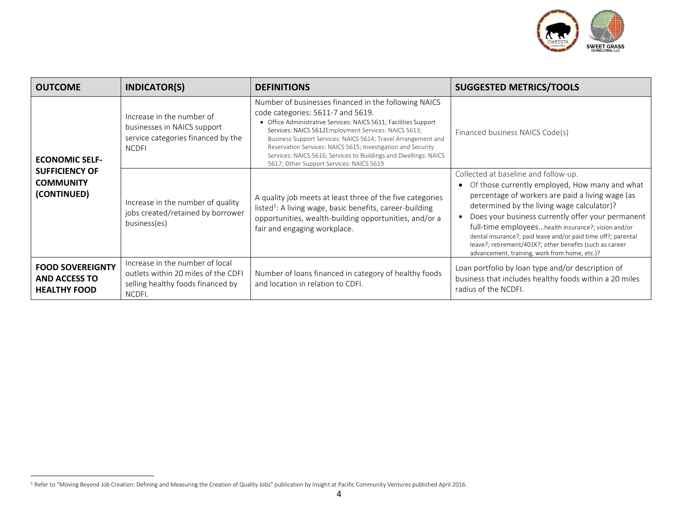

| <b>OUTCOME</b>                                                                    | <b>INDICATOR(S)</b>                                                                                                   | <b>DEFINITIONS</b>                                                                                                                                                                                                                                                                                                                                                                                                                                                     | <b>SUGGESTED METRICS/TOOLS</b>                                                                                                                                                                                                                                                                                                                                                                                                                                                     |
|-----------------------------------------------------------------------------------|-----------------------------------------------------------------------------------------------------------------------|------------------------------------------------------------------------------------------------------------------------------------------------------------------------------------------------------------------------------------------------------------------------------------------------------------------------------------------------------------------------------------------------------------------------------------------------------------------------|------------------------------------------------------------------------------------------------------------------------------------------------------------------------------------------------------------------------------------------------------------------------------------------------------------------------------------------------------------------------------------------------------------------------------------------------------------------------------------|
| <b>ECONOMIC SELF-</b><br><b>SUFFICIENCY OF</b><br><b>COMMUNITY</b><br>(CONTINUED) | Increase in the number of<br>businesses in NAICS support<br>service categories financed by the<br><b>NCDFI</b>        | Number of businesses financed in the following NAICS<br>code categories: 5611-7 and 5619.<br>• Office Administrative Services: NAICS 5611; Facilities Support<br>Services: NAICS 5612Employment Services: NAICS 5613;<br>Business Support Services: NAICS 5614; Travel Arrangement and<br>Reservation Services: NAICS 5615; Investigation and Security<br>Services: NAICS 5616; Services to Buildings and Dwellings: NAICS<br>5617; Other Support Services: NAICS 5619 | Financed business NAICS Code(s)                                                                                                                                                                                                                                                                                                                                                                                                                                                    |
|                                                                                   | Increase in the number of quality<br>jobs created/retained by borrower<br>business(es)                                | A quality job meets at least three of the five categories<br>listed <sup>1</sup> : A living wage, basic benefits, career-building<br>opportunities, wealth-building opportunities, and/or a<br>fair and engaging workplace.                                                                                                                                                                                                                                            | Collected at baseline and follow-up.<br>Of those currently employed, How many and what<br>percentage of workers are paid a living wage (as<br>determined by the living wage calculator)?<br>Does your business currently offer your permanent<br>full-time employeeshealth insurance?; vision and/or<br>dental insurance?; paid leave and/or paid time off?; parental<br>leave?; retirement/401K?; other benefits (such as career<br>advancement, training, work from home, etc.)? |
| <b>FOOD SOVEREIGNTY</b><br><b>AND ACCESS TO</b><br><b>HEALTHY FOOD</b>            | Increase in the number of local<br>outlets within 20 miles of the CDFI<br>selling healthy foods financed by<br>NCDFI. | Number of loans financed in category of healthy foods<br>and location in relation to CDFI.                                                                                                                                                                                                                                                                                                                                                                             | Loan portfolio by loan type and/or description of<br>business that includes healthy foods within a 20 miles<br>radius of the NCDFI.                                                                                                                                                                                                                                                                                                                                                |

<sup>&</sup>lt;sup>1</sup> Refer to "Moving Beyond Job Creation: Defining and Measuring the Creation of Quality Jobs" publication by Insight at Pacific Community Ventures published April 2016.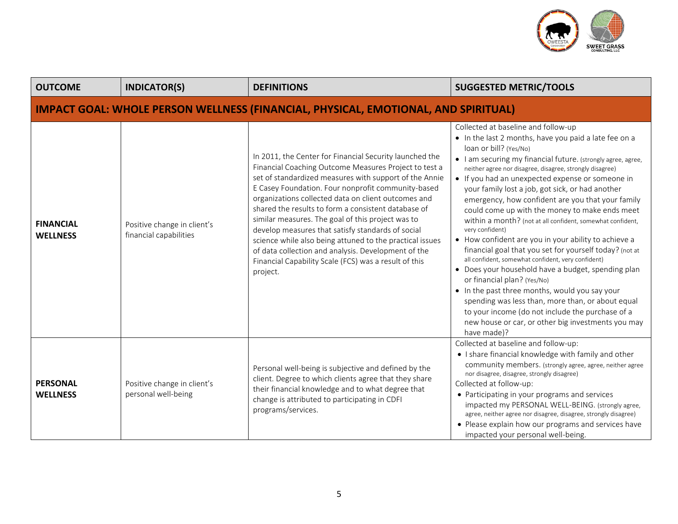

| <b>OUTCOME</b>                                                                            | <b>INDICATOR(S)</b>                                   | <b>DEFINITIONS</b>                                                                                                                                                                                                                                                                                                                                                                                                                                                                                                                                                                                                                               | <b>SUGGESTED METRIC/TOOLS</b>                                                                                                                                                                                                                                                                                                                                                                                                                                                                                                                                                                                                                                                                                                                                                                                                                                                                                                                                                                                                                    |
|-------------------------------------------------------------------------------------------|-------------------------------------------------------|--------------------------------------------------------------------------------------------------------------------------------------------------------------------------------------------------------------------------------------------------------------------------------------------------------------------------------------------------------------------------------------------------------------------------------------------------------------------------------------------------------------------------------------------------------------------------------------------------------------------------------------------------|--------------------------------------------------------------------------------------------------------------------------------------------------------------------------------------------------------------------------------------------------------------------------------------------------------------------------------------------------------------------------------------------------------------------------------------------------------------------------------------------------------------------------------------------------------------------------------------------------------------------------------------------------------------------------------------------------------------------------------------------------------------------------------------------------------------------------------------------------------------------------------------------------------------------------------------------------------------------------------------------------------------------------------------------------|
| <b>IMPACT GOAL: WHOLE PERSON WELLNESS (FINANCIAL, PHYSICAL, EMOTIONAL, AND SPIRITUAL)</b> |                                                       |                                                                                                                                                                                                                                                                                                                                                                                                                                                                                                                                                                                                                                                  |                                                                                                                                                                                                                                                                                                                                                                                                                                                                                                                                                                                                                                                                                                                                                                                                                                                                                                                                                                                                                                                  |
| <b>FINANCIAL</b><br><b>WELLNESS</b>                                                       | Positive change in client's<br>financial capabilities | In 2011, the Center for Financial Security launched the<br>Financial Coaching Outcome Measures Project to test a<br>set of standardized measures with support of the Annie<br>E Casey Foundation. Four nonprofit community-based<br>organizations collected data on client outcomes and<br>shared the results to form a consistent database of<br>similar measures. The goal of this project was to<br>develop measures that satisfy standards of social<br>science while also being attuned to the practical issues<br>of data collection and analysis. Development of the<br>Financial Capability Scale (FCS) was a result of this<br>project. | Collected at baseline and follow-up<br>• In the last 2 months, have you paid a late fee on a<br>loan or bill? (Yes/No)<br>• I am securing my financial future. (strongly agree, agree,<br>neither agree nor disagree, disagree, strongly disagree)<br>• If you had an unexpected expense or someone in<br>your family lost a job, got sick, or had another<br>emergency, how confident are you that your family<br>could come up with the money to make ends meet<br>within a month? (not at all confident, somewhat confident,<br>very confident)<br>• How confident are you in your ability to achieve a<br>financial goal that you set for yourself today? (not at<br>all confident, somewhat confident, very confident)<br>• Does your household have a budget, spending plan<br>or financial plan? (Yes/No)<br>• In the past three months, would you say your<br>spending was less than, more than, or about equal<br>to your income (do not include the purchase of a<br>new house or car, or other big investments you may<br>have made)? |
| <b>PERSONAL</b><br><b>WELLNESS</b>                                                        | Positive change in client's<br>personal well-being    | Personal well-being is subjective and defined by the<br>client. Degree to which clients agree that they share<br>their financial knowledge and to what degree that<br>change is attributed to participating in CDFI<br>programs/services.                                                                                                                                                                                                                                                                                                                                                                                                        | Collected at baseline and follow-up:<br>. I share financial knowledge with family and other<br>community members. (strongly agree, agree, neither agree<br>nor disagree, disagree, strongly disagree)<br>Collected at follow-up:<br>• Participating in your programs and services<br>impacted my PERSONAL WELL-BEING. (strongly agree,<br>agree, neither agree nor disagree, disagree, strongly disagree)<br>• Please explain how our programs and services have<br>impacted your personal well-being.                                                                                                                                                                                                                                                                                                                                                                                                                                                                                                                                           |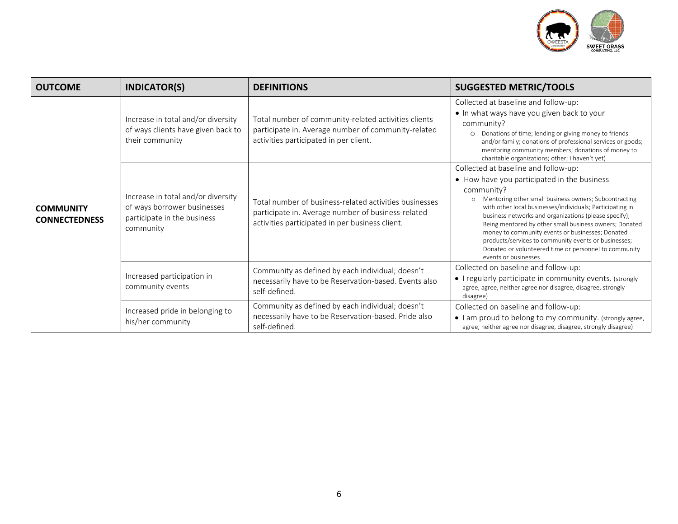

| <b>OUTCOME</b>                           | <b>INDICATOR(S)</b>                                                                                           | <b>DEFINITIONS</b>                                                                                                                                              | <b>SUGGESTED METRIC/TOOLS</b>                                                                                                                                                                                                                                                                                                                                                                                                                                                                                                                      |
|------------------------------------------|---------------------------------------------------------------------------------------------------------------|-----------------------------------------------------------------------------------------------------------------------------------------------------------------|----------------------------------------------------------------------------------------------------------------------------------------------------------------------------------------------------------------------------------------------------------------------------------------------------------------------------------------------------------------------------------------------------------------------------------------------------------------------------------------------------------------------------------------------------|
| <b>COMMUNITY</b><br><b>CONNECTEDNESS</b> | Increase in total and/or diversity<br>of ways clients have given back to<br>their community                   | Total number of community-related activities clients<br>participate in. Average number of community-related<br>activities participated in per client.           | Collected at baseline and follow-up:<br>. In what ways have you given back to your<br>community?<br>O Donations of time; lending or giving money to friends<br>and/or family; donations of professional services or goods;<br>mentoring community members; donations of money to<br>charitable organizations; other; I haven't yet)                                                                                                                                                                                                                |
|                                          | Increase in total and/or diversity<br>of ways borrower businesses<br>participate in the business<br>community | Total number of business-related activities businesses<br>participate in. Average number of business-related<br>activities participated in per business client. | Collected at baseline and follow-up:<br>• How have you participated in the business<br>community?<br>Mentoring other small business owners; Subcontracting<br>$\circ$<br>with other local businesses/individuals; Participating in<br>business networks and organizations (please specify);<br>Being mentored by other small business owners; Donated<br>money to community events or businesses; Donated<br>products/services to community events or businesses;<br>Donated or volunteered time or personnel to community<br>events or businesses |
|                                          | Increased participation in<br>community events                                                                | Community as defined by each individual; doesn't<br>necessarily have to be Reservation-based. Events also<br>self-defined.                                      | Collected on baseline and follow-up:<br>• I regularly participate in community events. (strongly<br>agree, agree, neither agree nor disagree, disagree, strongly<br>disagree)                                                                                                                                                                                                                                                                                                                                                                      |
|                                          | Increased pride in belonging to<br>his/her community                                                          | Community as defined by each individual; doesn't<br>necessarily have to be Reservation-based. Pride also<br>self-defined.                                       | Collected on baseline and follow-up:<br>• I am proud to belong to my community. (strongly agree,<br>agree, neither agree nor disagree, disagree, strongly disagree)                                                                                                                                                                                                                                                                                                                                                                                |